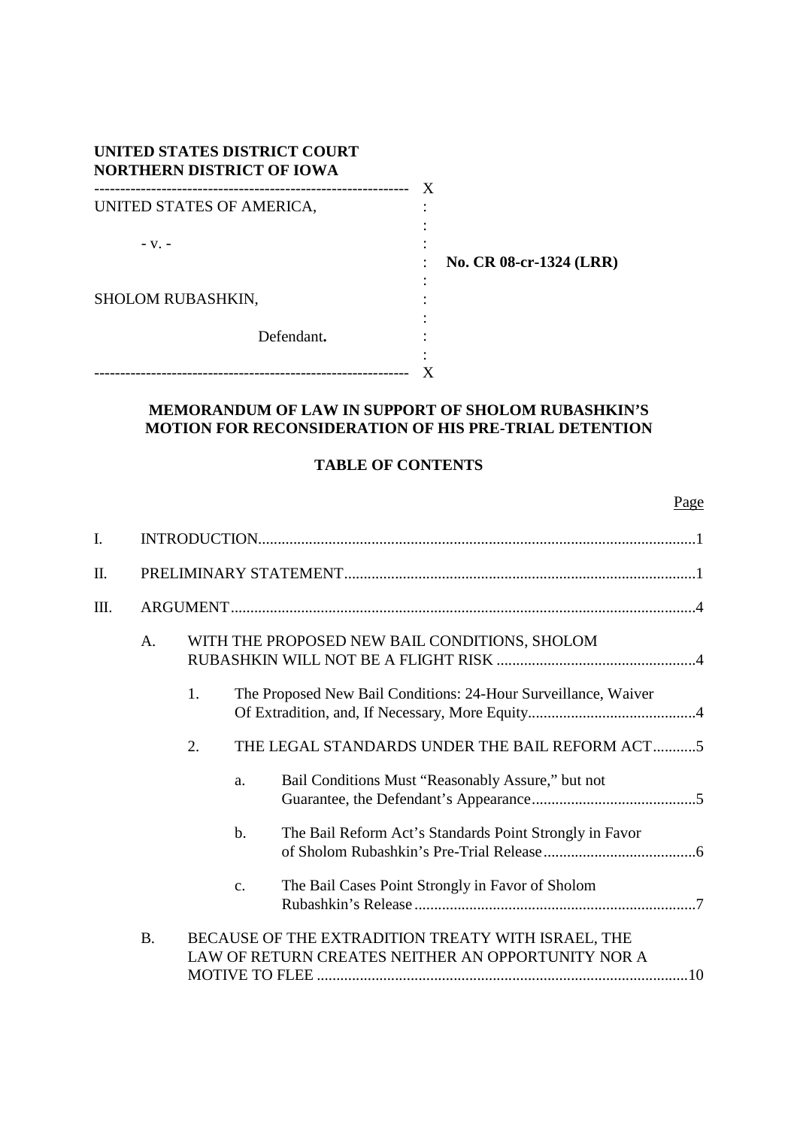| UNITED STATES DISTRICT COURT<br><b>NORTHERN DISTRICT OF IOWA</b><br>------------------- | X                       |
|-----------------------------------------------------------------------------------------|-------------------------|
| -------------------------------<br>UNITED STATES OF AMERICA,                            |                         |
| $-Vz$ –                                                                                 | No. CR 08-cr-1324 (LRR) |
| <b>SHOLOM RUBASHKIN,</b>                                                                |                         |
| Defendant.                                                                              |                         |
|                                                                                         |                         |

# **MEMORANDUM OF LAW IN SUPPORT OF SHOLOM RUBASHKIN'S MOTION FOR RECONSIDERATION OF HIS PRE-TRIAL DETENTION**

## **TABLE OF CONTENTS**

| ۰, |
|----|

| I. |           |    |                |                                                                                                          |     |  |
|----|-----------|----|----------------|----------------------------------------------------------------------------------------------------------|-----|--|
| П. |           |    |                |                                                                                                          |     |  |
| Ш. |           |    |                |                                                                                                          |     |  |
|    | A.        |    |                | WITH THE PROPOSED NEW BAIL CONDITIONS, SHOLOM                                                            |     |  |
|    |           | 1. |                | The Proposed New Bail Conditions: 24-Hour Surveillance, Waiver                                           |     |  |
|    |           | 2. |                | THE LEGAL STANDARDS UNDER THE BAIL REFORM ACT5                                                           |     |  |
|    |           |    | a.             | Bail Conditions Must "Reasonably Assure," but not                                                        |     |  |
|    |           |    | b.             | The Bail Reform Act's Standards Point Strongly in Favor                                                  |     |  |
|    |           |    | $\mathbf{c}$ . | The Bail Cases Point Strongly in Favor of Sholom                                                         |     |  |
|    | <b>B.</b> |    |                | BECAUSE OF THE EXTRADITION TREATY WITH ISRAEL, THE<br>LAW OF RETURN CREATES NEITHER AN OPPORTUNITY NOR A | .10 |  |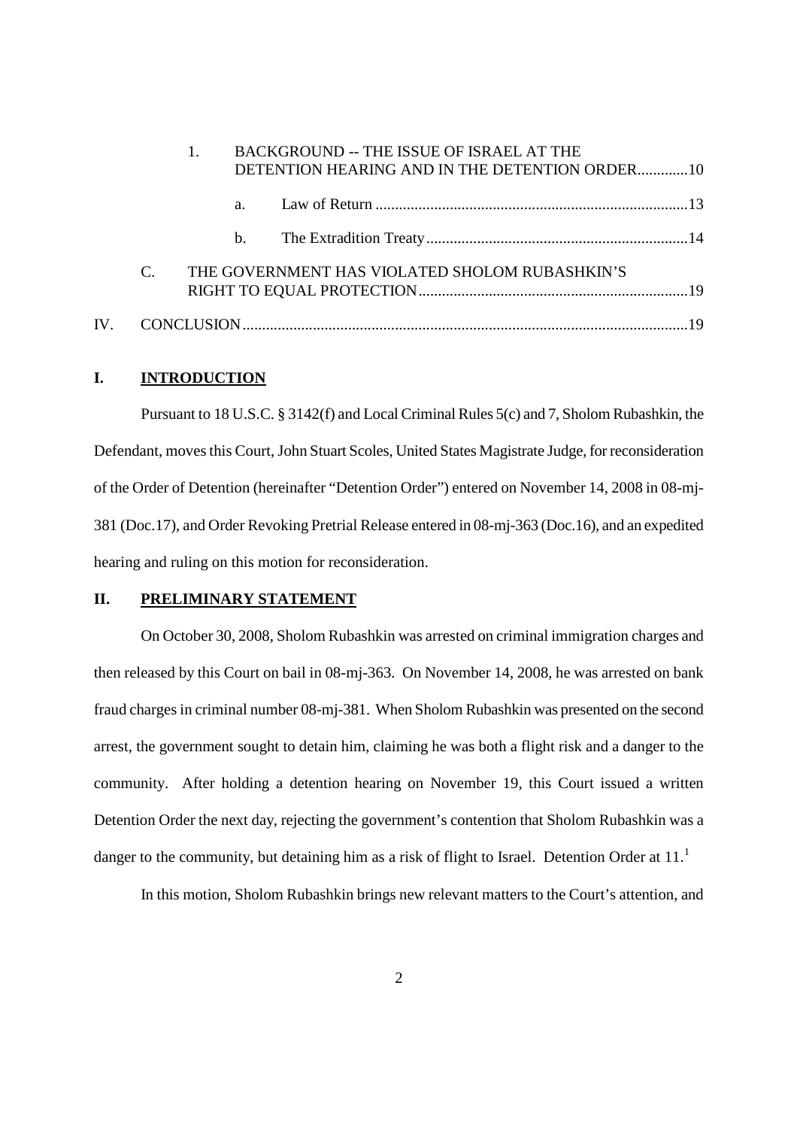|               |                | BACKGROUND -- THE ISSUE OF ISRAEL AT THE<br>DETENTION HEARING AND IN THE DETENTION ORDER10 |  |  |
|---------------|----------------|--------------------------------------------------------------------------------------------|--|--|
|               | a.             |                                                                                            |  |  |
|               | $\mathbf{b}$ . |                                                                                            |  |  |
| $\mathcal{C}$ |                | THE GOVERNMENT HAS VIOLATED SHOLOM RUBASHKIN'S                                             |  |  |
|               |                |                                                                                            |  |  |

## **I. INTRODUCTION**

Pursuant to 18 U.S.C. § 3142(f) and Local Criminal Rules 5(c) and 7, Sholom Rubashkin, the Defendant, moves this Court, John Stuart Scoles, United States Magistrate Judge, for reconsideration of the Order of Detention (hereinafter "Detention Order") entered on November 14, 2008 in 08-mj-381 (Doc.17), and Order Revoking Pretrial Release entered in 08-mj-363 (Doc.16), and an expedited hearing and ruling on this motion for reconsideration.

## **II. PRELIMINARY STATEMENT**

On October 30, 2008, Sholom Rubashkin was arrested on criminal immigration charges and then released by this Court on bail in 08-mj-363. On November 14, 2008, he was arrested on bank fraud charges in criminal number 08-mj-381. When Sholom Rubashkin was presented on the second arrest, the government sought to detain him, claiming he was both a flight risk and a danger to the community. After holding a detention hearing on November 19, this Court issued a written Detention Order the next day, rejecting the government's contention that Sholom Rubashkin was a danger to the community, but detaining him as a risk of flight to Israel. Detention Order at 11.<sup>1</sup>

In this motion, Sholom Rubashkin brings new relevant matters to the Court's attention, and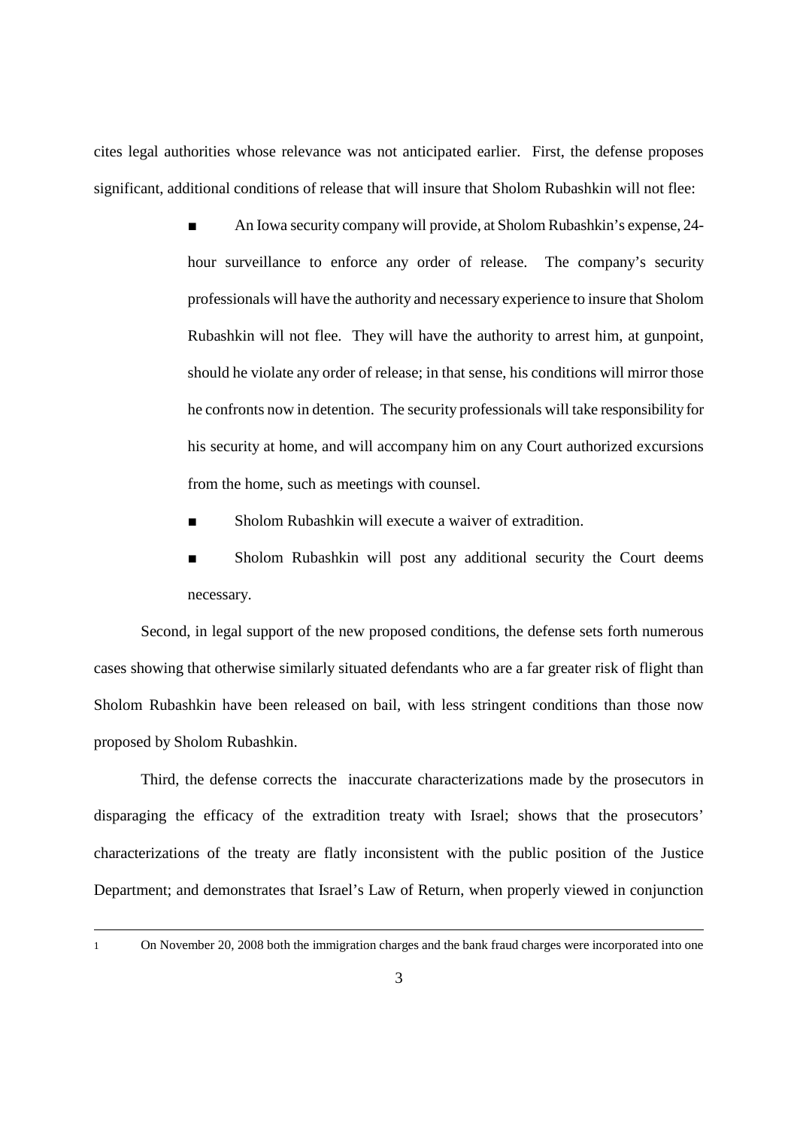cites legal authorities whose relevance was not anticipated earlier. First, the defense proposes significant, additional conditions of release that will insure that Sholom Rubashkin will not flee:

- An Iowa security company will provide, at Sholom Rubashkin's expense, 24hour surveillance to enforce any order of release. The company's security professionals will have the authority and necessary experience to insure that Sholom Rubashkin will not flee. They will have the authority to arrest him, at gunpoint, should he violate any order of release; in that sense, his conditions will mirror those he confronts now in detention. The security professionals will take responsibility for his security at home, and will accompany him on any Court authorized excursions from the home, such as meetings with counsel.
- Sholom Rubashkin will execute a waiver of extradition.
- Sholom Rubashkin will post any additional security the Court deems necessary.

Second, in legal support of the new proposed conditions, the defense sets forth numerous cases showing that otherwise similarly situated defendants who are a far greater risk of flight than Sholom Rubashkin have been released on bail, with less stringent conditions than those now proposed by Sholom Rubashkin.

Third, the defense corrects the inaccurate characterizations made by the prosecutors in disparaging the efficacy of the extradition treaty with Israel; shows that the prosecutors' characterizations of the treaty are flatly inconsistent with the public position of the Justice Department; and demonstrates that Israel's Law of Return, when properly viewed in conjunction

1 On November 20, 2008 both the immigration charges and the bank fraud charges were incorporated into one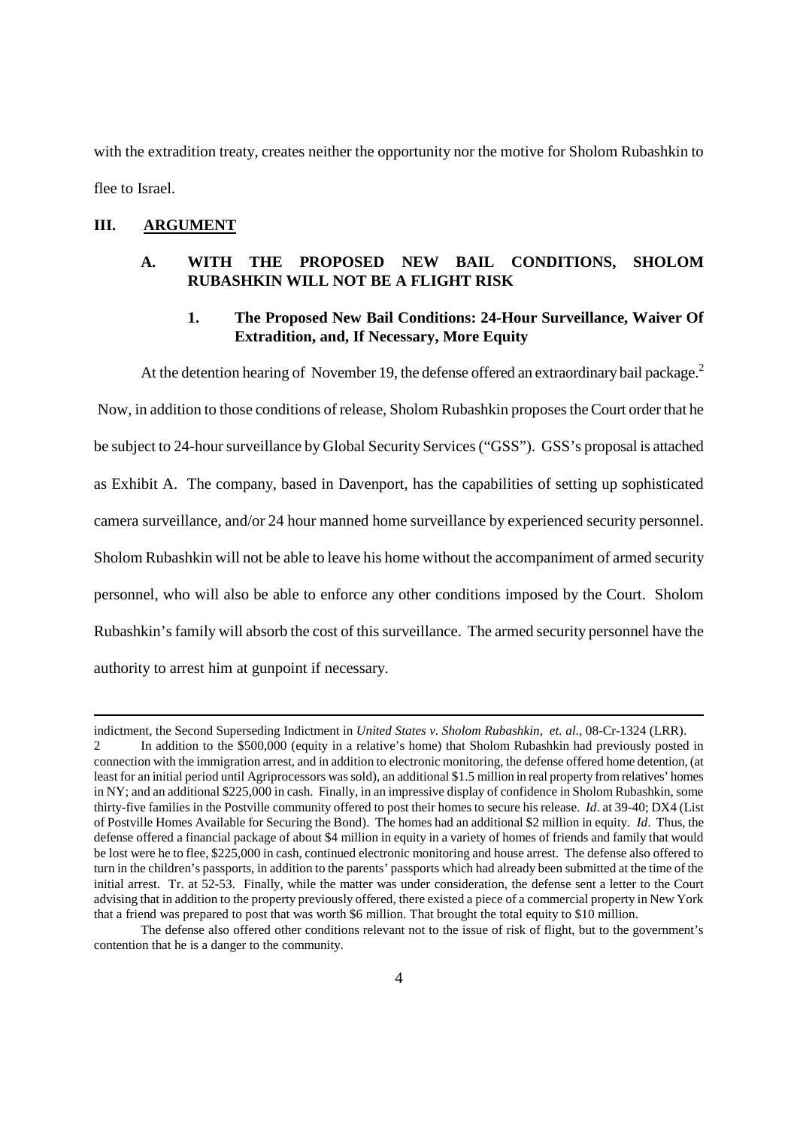with the extradition treaty, creates neither the opportunity nor the motive for Sholom Rubashkin to flee to Israel.

### **III. ARGUMENT**

## **A. WITH THE PROPOSED NEW BAIL CONDITIONS, SHOLOM RUBASHKIN WILL NOT BE A FLIGHT RISK**

## **1. The Proposed New Bail Conditions: 24-Hour Surveillance, Waiver Of Extradition, and, If Necessary, More Equity**

At the detention hearing of November 19, the defense offered an extraordinary bail package.<sup>2</sup> Now, in addition to those conditions of release, Sholom Rubashkin proposes the Court order that he be subject to 24-hour surveillance by Global Security Services ("GSS"). GSS's proposal is attached as Exhibit A. The company, based in Davenport, has the capabilities of setting up sophisticated camera surveillance, and/or 24 hour manned home surveillance by experienced security personnel. Sholom Rubashkin will not be able to leave his home without the accompaniment of armed security personnel, who will also be able to enforce any other conditions imposed by the Court. Sholom Rubashkin's family will absorb the cost of this surveillance. The armed security personnel have the authority to arrest him at gunpoint if necessary.

indictment, the Second Superseding Indictment in *United States v. Sholom Rubashkin, et. al*., 08-Cr-1324 (LRR). 2 In addition to the \$500,000 (equity in a relative's home) that Sholom Rubashkin had previously posted in connection with the immigration arrest, and in addition to electronic monitoring, the defense offered home detention, (at least for an initial period until Agriprocessors was sold), an additional \$1.5 million in real property from relatives' homes in NY; and an additional \$225,000 in cash. Finally, in an impressive display of confidence in Sholom Rubashkin, some thirty-five families in the Postville community offered to post their homes to secure his release. *Id*. at 39-40; DX4 (List of Postville Homes Available for Securing the Bond). The homes had an additional \$2 million in equity. *Id*. Thus, the defense offered a financial package of about \$4 million in equity in a variety of homes of friends and family that would be lost were he to flee, \$225,000 in cash, continued electronic monitoring and house arrest. The defense also offered to turn in the children's passports, in addition to the parents' passports which had already been submitted at the time of the initial arrest. Tr. at 52-53. Finally, while the matter was under consideration, the defense sent a letter to the Court advising that in addition to the property previously offered, there existed a piece of a commercial property in New York that a friend was prepared to post that was worth \$6 million. That brought the total equity to \$10 million.

The defense also offered other conditions relevant not to the issue of risk of flight, but to the government's contention that he is a danger to the community.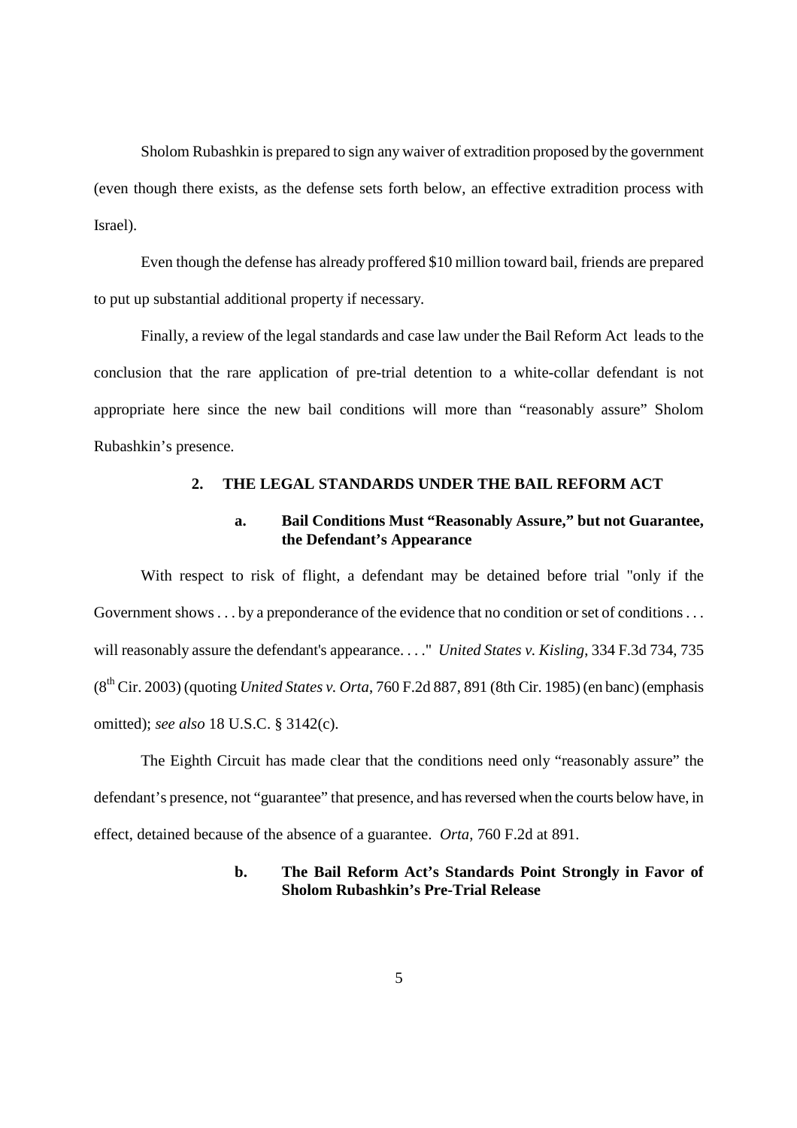Sholom Rubashkin is prepared to sign any waiver of extradition proposed by the government (even though there exists, as the defense sets forth below, an effective extradition process with Israel).

Even though the defense has already proffered \$10 million toward bail, friends are prepared to put up substantial additional property if necessary.

Finally, a review of the legal standards and case law under the Bail Reform Act leads to the conclusion that the rare application of pre-trial detention to a white-collar defendant is not appropriate here since the new bail conditions will more than "reasonably assure" Sholom Rubashkin's presence.

## **2. THE LEGAL STANDARDS UNDER THE BAIL REFORM ACT**

## **a. Bail Conditions Must "Reasonably Assure," but not Guarantee, the Defendant's Appearance**

With respect to risk of flight, a defendant may be detained before trial "only if the Government shows . . . by a preponderance of the evidence that no condition or set of conditions . . . will reasonably assure the defendant's appearance. . . ." *United States v. Kisling*, 334 F.3d 734, 735 (8th Cir. 2003) (quoting *United States v. Orta*, 760 F.2d 887, 891 (8th Cir. 1985) (en banc) (emphasis omitted); *see also* 18 U.S.C. § 3142(c).

The Eighth Circuit has made clear that the conditions need only "reasonably assure" the defendant's presence, not "guarantee" that presence, and has reversed when the courts below have, in effect, detained because of the absence of a guarantee. *Orta*, 760 F.2d at 891.

### **b. The Bail Reform Act's Standards Point Strongly in Favor of Sholom Rubashkin's Pre-Trial Release**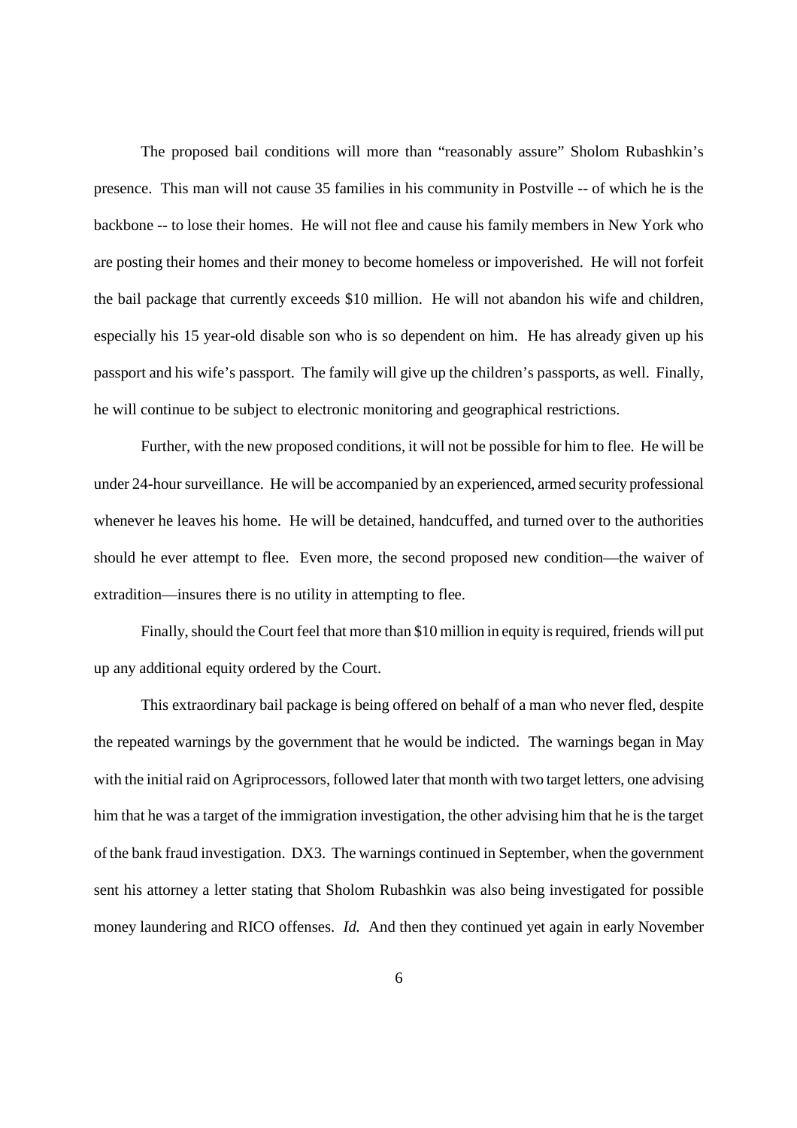The proposed bail conditions will more than "reasonably assure" Sholom Rubashkin's presence. This man will not cause 35 families in his community in Postville -- of which he is the backbone -- to lose their homes. He will not flee and cause his family members in New York who are posting their homes and their money to become homeless or impoverished. He will not forfeit the bail package that currently exceeds \$10 million. He will not abandon his wife and children, especially his 15 year-old disable son who is so dependent on him. He has already given up his passport and his wife's passport. The family will give up the children's passports, as well. Finally, he will continue to be subject to electronic monitoring and geographical restrictions.

Further, with the new proposed conditions, it will not be possible for him to flee. He will be under 24-hour surveillance. He will be accompanied by an experienced, armed security professional whenever he leaves his home. He will be detained, handcuffed, and turned over to the authorities should he ever attempt to flee. Even more, the second proposed new condition—the waiver of extradition—insures there is no utility in attempting to flee.

Finally, should the Court feel that more than \$10 million in equity is required, friends will put up any additional equity ordered by the Court.

This extraordinary bail package is being offered on behalf of a man who never fled, despite the repeated warnings by the government that he would be indicted. The warnings began in May with the initial raid on Agriprocessors, followed later that month with two target letters, one advising him that he was a target of the immigration investigation, the other advising him that he is the target of the bank fraud investigation. DX3. The warnings continued in September, when the government sent his attorney a letter stating that Sholom Rubashkin was also being investigated for possible money laundering and RICO offenses. *Id.* And then they continued yet again in early November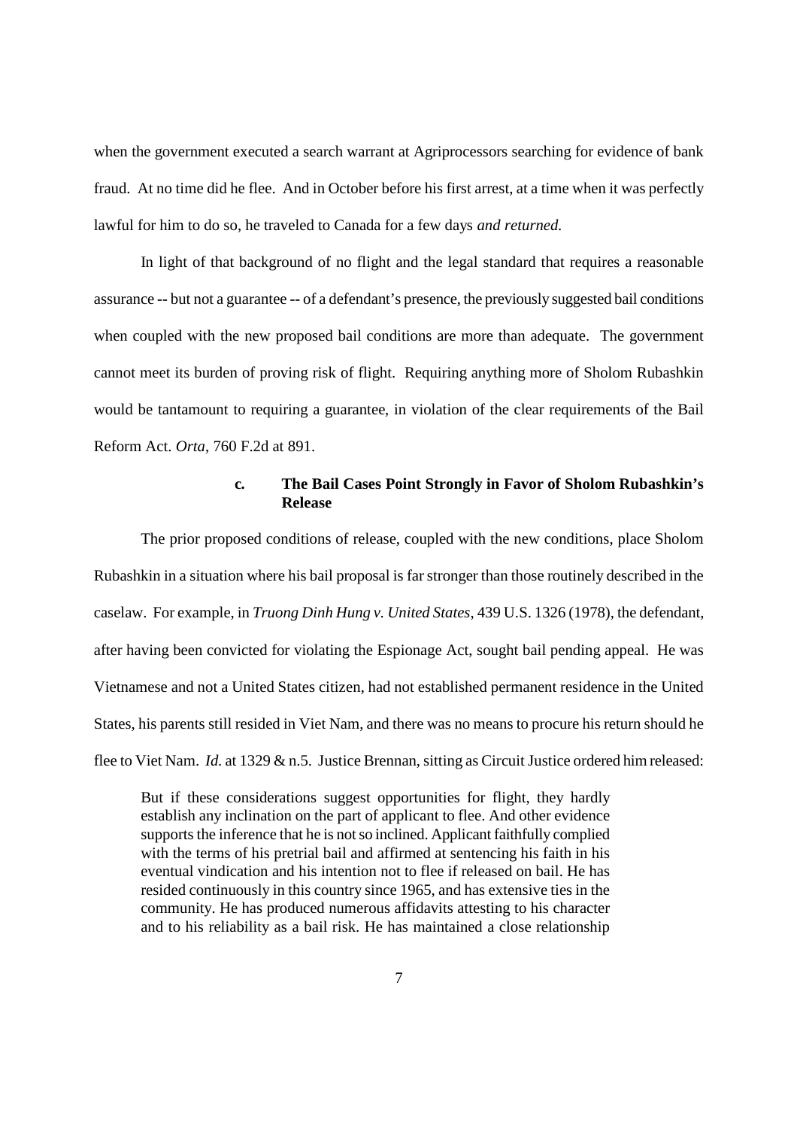when the government executed a search warrant at Agriprocessors searching for evidence of bank fraud. At no time did he flee. And in October before his first arrest, at a time when it was perfectly lawful for him to do so, he traveled to Canada for a few days *and returned.*

In light of that background of no flight and the legal standard that requires a reasonable assurance -- but not a guarantee -- of a defendant's presence, the previously suggested bail conditions when coupled with the new proposed bail conditions are more than adequate. The government cannot meet its burden of proving risk of flight. Requiring anything more of Sholom Rubashkin would be tantamount to requiring a guarantee, in violation of the clear requirements of the Bail Reform Act. *Orta*, 760 F.2d at 891.

### **c***.* **The Bail Cases Point Strongly in Favor of Sholom Rubashkin's Release**

The prior proposed conditions of release, coupled with the new conditions, place Sholom Rubashkin in a situation where his bail proposal is far stronger than those routinely described in the caselaw. For example, in *Truong Dinh Hung v. United States*, 439 U.S. 1326 (1978), the defendant, after having been convicted for violating the Espionage Act, sought bail pending appeal. He was Vietnamese and not a United States citizen, had not established permanent residence in the United States, his parents still resided in Viet Nam, and there was no means to procure his return should he flee to Viet Nam. *Id.* at 1329 & n.5. Justice Brennan, sitting as Circuit Justice ordered him released:

But if these considerations suggest opportunities for flight, they hardly establish any inclination on the part of applicant to flee. And other evidence supports the inference that he is not so inclined. Applicant faithfully complied with the terms of his pretrial bail and affirmed at sentencing his faith in his eventual vindication and his intention not to flee if released on bail. He has resided continuously in this country since 1965, and has extensive ties in the community. He has produced numerous affidavits attesting to his character and to his reliability as a bail risk. He has maintained a close relationship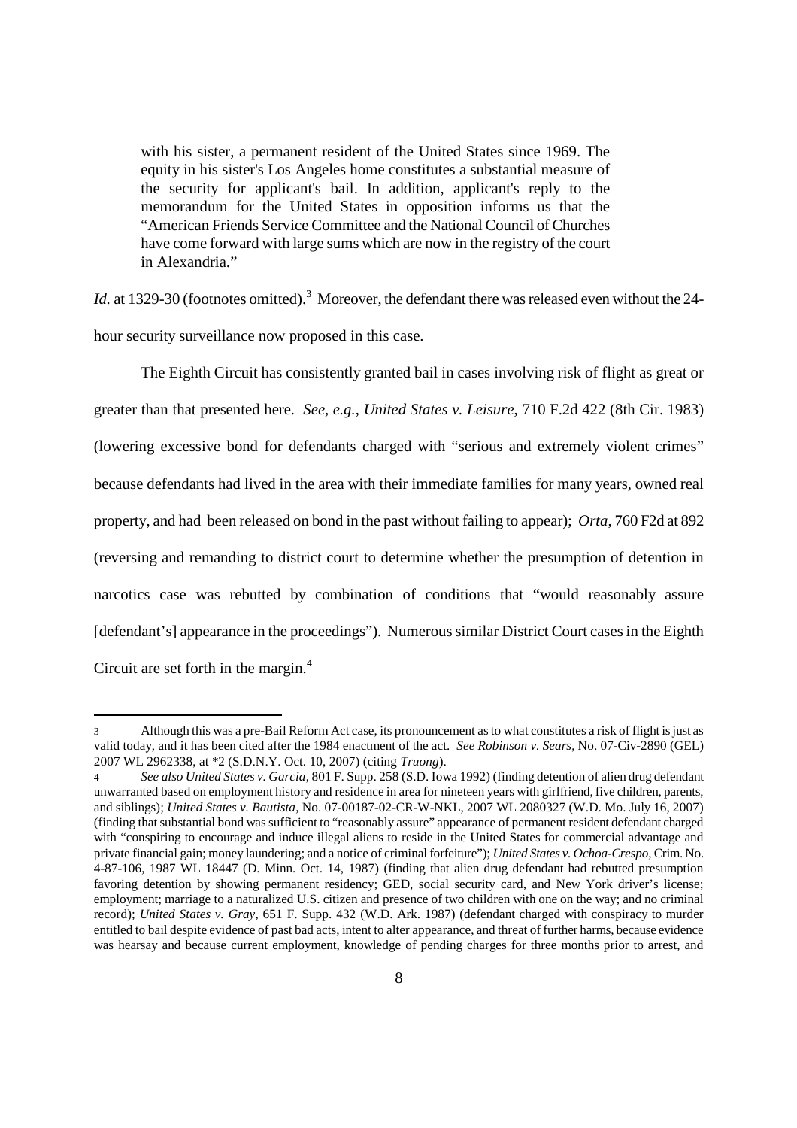with his sister, a permanent resident of the United States since 1969. The equity in his sister's Los Angeles home constitutes a substantial measure of the security for applicant's bail. In addition, applicant's reply to the memorandum for the United States in opposition informs us that the "American Friends Service Committee and the National Council of Churches have come forward with large sums which are now in the registry of the court in Alexandria."

*Id.* at 1329-30 (footnotes omitted).<sup>3</sup> Moreover, the defendant there was released even without the 24hour security surveillance now proposed in this case.

The Eighth Circuit has consistently granted bail in cases involving risk of flight as great or greater than that presented here. *See, e.g.*, *United States v. Leisure*, 710 F.2d 422 (8th Cir. 1983) (lowering excessive bond for defendants charged with "serious and extremely violent crimes" because defendants had lived in the area with their immediate families for many years, owned real property, and had been released on bond in the past without failing to appear); *Orta*, 760 F2d at 892 (reversing and remanding to district court to determine whether the presumption of detention in narcotics case was rebutted by combination of conditions that "would reasonably assure [defendant's] appearance in the proceedings"). Numerous similar District Court cases in the Eighth Circuit are set forth in the margin.<sup>4</sup>

<sup>3</sup> Although this was a pre-Bail Reform Act case, its pronouncement as to what constitutes a risk of flight is just as valid today, and it has been cited after the 1984 enactment of the act. *See Robinson v. Sears*, No. 07-Civ-2890 (GEL) 2007 WL 2962338, at \*2 (S.D.N.Y. Oct. 10, 2007) (citing *Truong*).

<sup>4</sup> *See also United States v. Garcia*, 801 F. Supp. 258 (S.D. Iowa 1992) (finding detention of alien drug defendant unwarranted based on employment history and residence in area for nineteen years with girlfriend, five children, parents, and siblings); *United States v. Bautista*, No. 07-00187-02-CR-W-NKL, 2007 WL 2080327 (W.D. Mo. July 16, 2007) (finding that substantial bond was sufficient to "reasonably assure" appearance of permanent resident defendant charged with "conspiring to encourage and induce illegal aliens to reside in the United States for commercial advantage and private financial gain; money laundering; and a notice of criminal forfeiture"); *United States v. Ochoa-Crespo*, Crim. No. 4-87-106, 1987 WL 18447 (D. Minn. Oct. 14, 1987) (finding that alien drug defendant had rebutted presumption favoring detention by showing permanent residency; GED, social security card, and New York driver's license; employment; marriage to a naturalized U.S. citizen and presence of two children with one on the way; and no criminal record); *United States v. Gray*, 651 F. Supp. 432 (W.D. Ark. 1987) (defendant charged with conspiracy to murder entitled to bail despite evidence of past bad acts, intent to alter appearance, and threat of further harms, because evidence was hearsay and because current employment, knowledge of pending charges for three months prior to arrest, and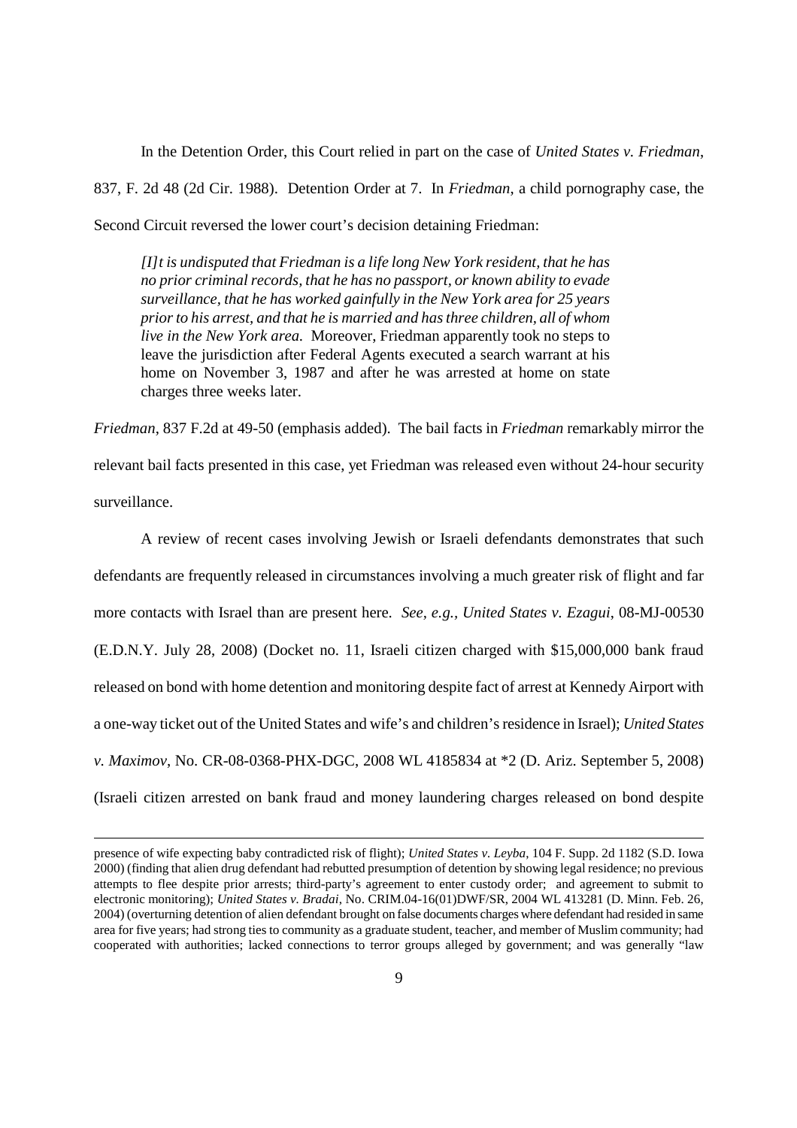In the Detention Order, this Court relied in part on the case of *United States v. Friedman*, 837, F. 2d 48 (2d Cir. 1988). Detention Order at 7. In *Friedman*, a child pornography case, the Second Circuit reversed the lower court's decision detaining Friedman:

*[I]t is undisputed that Friedman is a life long New York resident, that he has no prior criminal records, that he has no passport, or known ability to evade surveillance, that he has worked gainfully in the New York area for 25 years prior to his arrest, and that he is married and has three children, all of whom live in the New York area.* Moreover, Friedman apparently took no steps to leave the jurisdiction after Federal Agents executed a search warrant at his home on November 3, 1987 and after he was arrested at home on state charges three weeks later.

*Friedman*, 837 F.2d at 49-50 (emphasis added). The bail facts in *Friedman* remarkably mirror the relevant bail facts presented in this case, yet Friedman was released even without 24-hour security surveillance.

A review of recent cases involving Jewish or Israeli defendants demonstrates that such defendants are frequently released in circumstances involving a much greater risk of flight and far more contacts with Israel than are present here. *See, e.g., United States v. Ezagui*, 08-MJ-00530 (E.D.N.Y. July 28, 2008) (Docket no. 11, Israeli citizen charged with \$15,000,000 bank fraud released on bond with home detention and monitoring despite fact of arrest at Kennedy Airport with a one-way ticket out of the United States and wife's and children's residence in Israel); *United States v. Maximov*, No. CR-08-0368-PHX-DGC, 2008 WL 4185834 at \*2 (D. Ariz. September 5, 2008) (Israeli citizen arrested on bank fraud and money laundering charges released on bond despite

presence of wife expecting baby contradicted risk of flight); *United States v. Leyba*, 104 F. Supp. 2d 1182 (S.D. Iowa 2000) (finding that alien drug defendant had rebutted presumption of detention by showing legal residence; no previous attempts to flee despite prior arrests; third-party's agreement to enter custody order; and agreement to submit to electronic monitoring); *United States v. Bradai*, No. CRIM.04-16(01)DWF/SR, 2004 WL 413281 (D. Minn. Feb. 26, 2004) (overturning detention of alien defendant brought on false documents charges where defendant had resided in same area for five years; had strong ties to community as a graduate student, teacher, and member of Muslim community; had cooperated with authorities; lacked connections to terror groups alleged by government; and was generally "law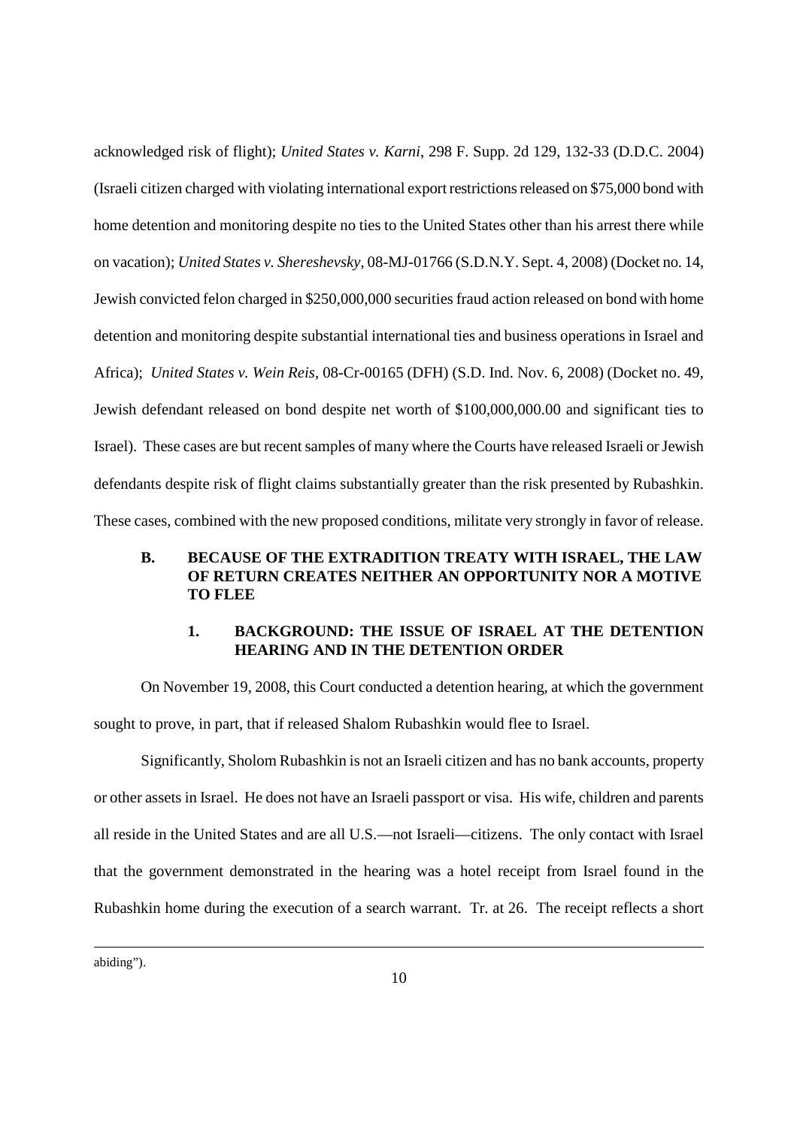acknowledged risk of flight); *United States v. Karni*, 298 F. Supp. 2d 129, 132-33 (D.D.C. 2004) (Israeli citizen charged with violating international export restrictions released on \$75,000 bond with home detention and monitoring despite no ties to the United States other than his arrest there while on vacation); *United States v. Shereshevsky*, 08-MJ-01766 (S.D.N.Y. Sept. 4, 2008) (Docket no. 14, Jewish convicted felon charged in \$250,000,000 securities fraud action released on bond with home detention and monitoring despite substantial international ties and business operations in Israel and Africa); *United States v. Wein Reis*, 08-Cr-00165 (DFH) (S.D. Ind. Nov. 6, 2008) (Docket no. 49, Jewish defendant released on bond despite net worth of \$100,000,000.00 and significant ties to Israel). These cases are but recent samples of many where the Courts have released Israeli or Jewish defendants despite risk of flight claims substantially greater than the risk presented by Rubashkin. These cases, combined with the new proposed conditions, militate very strongly in favor of release.

## **B. BECAUSE OF THE EXTRADITION TREATY WITH ISRAEL, THE LAW OF RETURN CREATES NEITHER AN OPPORTUNITY NOR A MOTIVE TO FLEE**

## **1. BACKGROUND: THE ISSUE OF ISRAEL AT THE DETENTION HEARING AND IN THE DETENTION ORDER**

On November 19, 2008, this Court conducted a detention hearing, at which the government sought to prove, in part, that if released Shalom Rubashkin would flee to Israel.

Significantly, Sholom Rubashkin is not an Israeli citizen and has no bank accounts, property or other assets in Israel. He does not have an Israeli passport or visa. His wife, children and parents all reside in the United States and are all U.S.—not Israeli—citizens. The only contact with Israel that the government demonstrated in the hearing was a hotel receipt from Israel found in the Rubashkin home during the execution of a search warrant. Tr. at 26. The receipt reflects a short

abiding").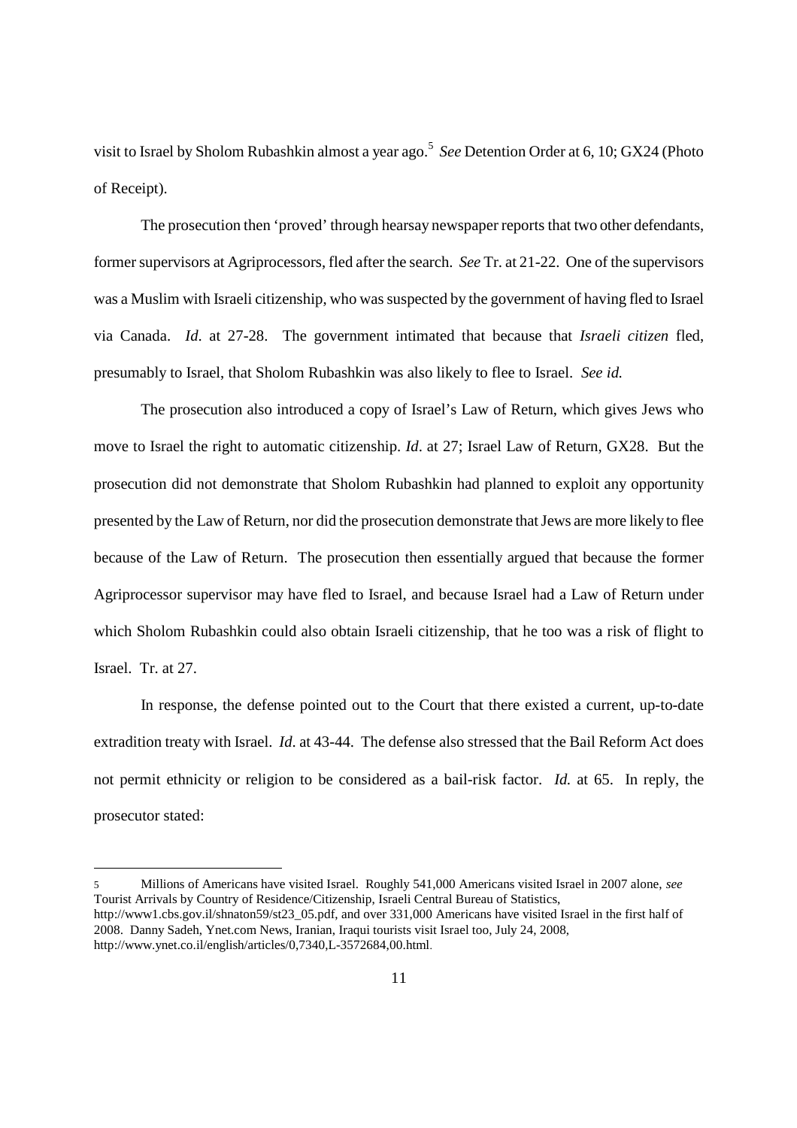visit to Israel by Sholom Rubashkin almost a year ago.<sup>5</sup> See Detention Order at 6, 10; GX24 (Photo of Receipt).

The prosecution then 'proved' through hearsay newspaper reports that two other defendants, former supervisors at Agriprocessors, fled after the search. *See* Tr. at 21-22. One of the supervisors was a Muslim with Israeli citizenship, who was suspected by the government of having fled to Israel via Canada. *Id*. at 27-28. The government intimated that because that *Israeli citizen* fled, presumably to Israel, that Sholom Rubashkin was also likely to flee to Israel. *See id.*

The prosecution also introduced a copy of Israel's Law of Return, which gives Jews who move to Israel the right to automatic citizenship. *Id*. at 27; Israel Law of Return, GX28. But the prosecution did not demonstrate that Sholom Rubashkin had planned to exploit any opportunity presented by the Law of Return, nor did the prosecution demonstrate that Jews are more likely to flee because of the Law of Return. The prosecution then essentially argued that because the former Agriprocessor supervisor may have fled to Israel, and because Israel had a Law of Return under which Sholom Rubashkin could also obtain Israeli citizenship, that he too was a risk of flight to Israel. Tr. at 27.

In response, the defense pointed out to the Court that there existed a current, up-to-date extradition treaty with Israel. *Id*. at 43-44. The defense also stressed that the Bail Reform Act does not permit ethnicity or religion to be considered as a bail-risk factor. *Id.* at 65. In reply, the prosecutor stated:

<sup>5</sup> Millions of Americans have visited Israel. Roughly 541,000 Americans visited Israel in 2007 alone, *see* Tourist Arrivals by Country of Residence/Citizenship, Israeli Central Bureau of Statistics, http://www1.cbs.gov.il/shnaton59/st23\_05.pdf, and over 331,000 Americans have visited Israel in the first half of 2008. Danny Sadeh, Ynet.com News, Iranian, Iraqui tourists visit Israel too, July 24, 2008, http://www.ynet.co.il/english/articles/0,7340,L-3572684,00.html.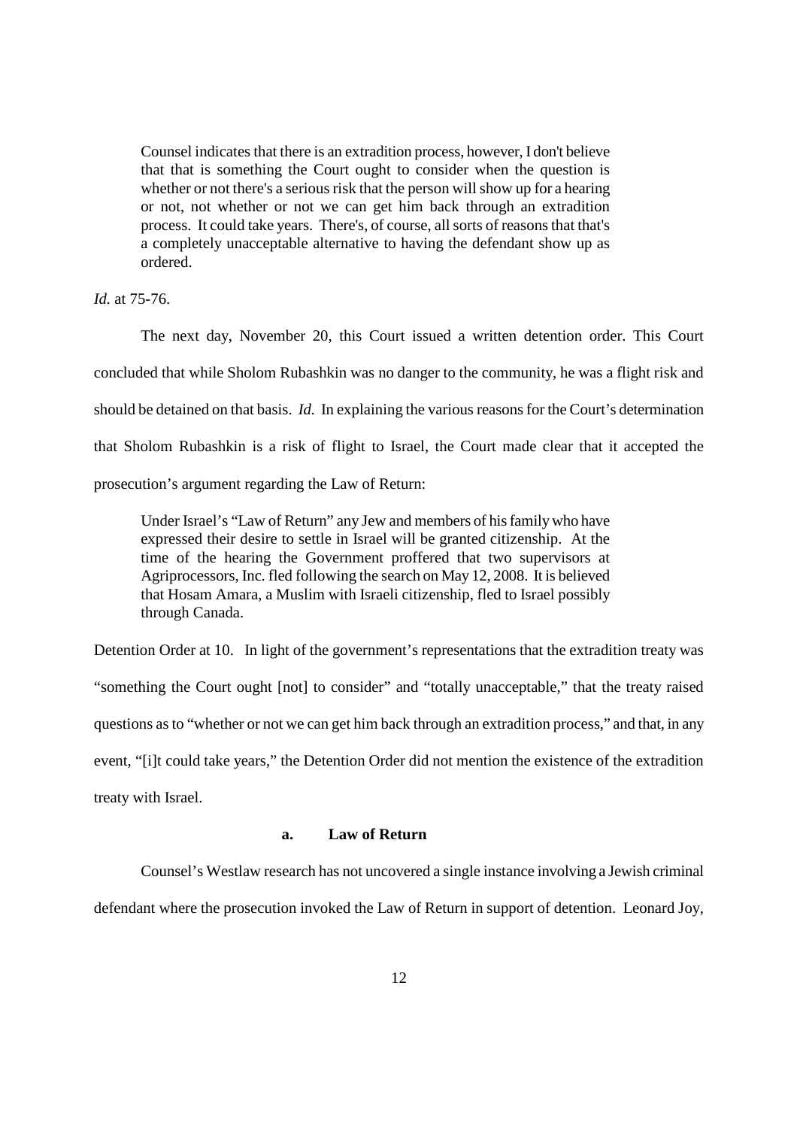Counsel indicates that there is an extradition process, however, I don't believe that that is something the Court ought to consider when the question is whether or not there's a serious risk that the person will show up for a hearing or not, not whether or not we can get him back through an extradition process. It could take years. There's, of course, all sorts of reasons that that's a completely unacceptable alternative to having the defendant show up as ordered.

*Id.* at 75-76.

The next day, November 20, this Court issued a written detention order. This Court concluded that while Sholom Rubashkin was no danger to the community, he was a flight risk and should be detained on that basis. *Id.* In explaining the various reasons for the Court's determination that Sholom Rubashkin is a risk of flight to Israel, the Court made clear that it accepted the prosecution's argument regarding the Law of Return:

Under Israel's "Law of Return" any Jew and members of his family who have expressed their desire to settle in Israel will be granted citizenship. At the time of the hearing the Government proffered that two supervisors at Agriprocessors, Inc. fled following the search on May 12, 2008. It is believed that Hosam Amara, a Muslim with Israeli citizenship, fled to Israel possibly through Canada.

Detention Order at 10. In light of the government's representations that the extradition treaty was "something the Court ought [not] to consider" and "totally unacceptable," that the treaty raised questions as to "whether or not we can get him back through an extradition process," and that, in any event, "[i]t could take years," the Detention Order did not mention the existence of the extradition treaty with Israel.

### **a. Law of Return**

Counsel's Westlaw research has not uncovered a single instance involving a Jewish criminal defendant where the prosecution invoked the Law of Return in support of detention. Leonard Joy,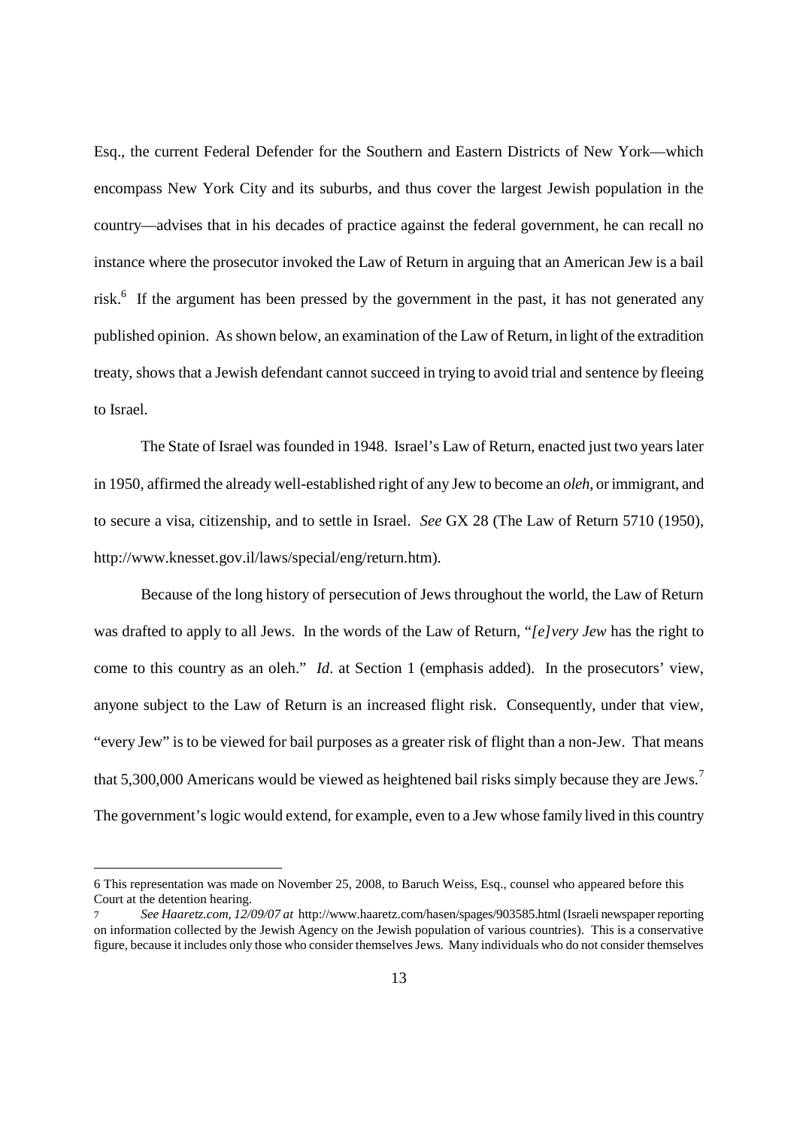Esq., the current Federal Defender for the Southern and Eastern Districts of New York—which encompass New York City and its suburbs, and thus cover the largest Jewish population in the country—advises that in his decades of practice against the federal government, he can recall no instance where the prosecutor invoked the Law of Return in arguing that an American Jew is a bail risk.<sup>6</sup> If the argument has been pressed by the government in the past, it has not generated any published opinion. As shown below, an examination of the Law of Return, in light of the extradition treaty, shows that a Jewish defendant cannot succeed in trying to avoid trial and sentence by fleeing to Israel.

The State of Israel was founded in 1948. Israel's Law of Return, enacted just two years later in 1950, affirmed the already well-established right of any Jew to become an *oleh*, or immigrant, and to secure a visa, citizenship, and to settle in Israel. *See* GX 28 (The Law of Return 5710 (1950), http://www.knesset.gov.il/laws/special/eng/return.htm).

Because of the long history of persecution of Jews throughout the world, the Law of Return was drafted to apply to all Jews. In the words of the Law of Return, "*[e]very Jew* has the right to come to this country as an oleh." *Id*. at Section 1 (emphasis added). In the prosecutors' view, anyone subject to the Law of Return is an increased flight risk. Consequently, under that view, "every Jew" is to be viewed for bail purposes as a greater risk of flight than a non-Jew. That means that 5,300,000 Americans would be viewed as heightened bail risks simply because they are Jews.<sup>7</sup> The government's logic would extend, for example, even to a Jew whose family lived in this country

<sup>6</sup> This representation was made on November 25, 2008, to Baruch Weiss, Esq., counsel who appeared before this Court at the detention hearing.

<sup>7</sup> *See Haaretz.com, 12/09/07 at* http://www.haaretz.com/hasen/spages/903585.html (Israeli newspaper reporting on information collected by the Jewish Agency on the Jewish population of various countries). This is a conservative figure, because it includes only those who consider themselves Jews. Many individuals who do not consider themselves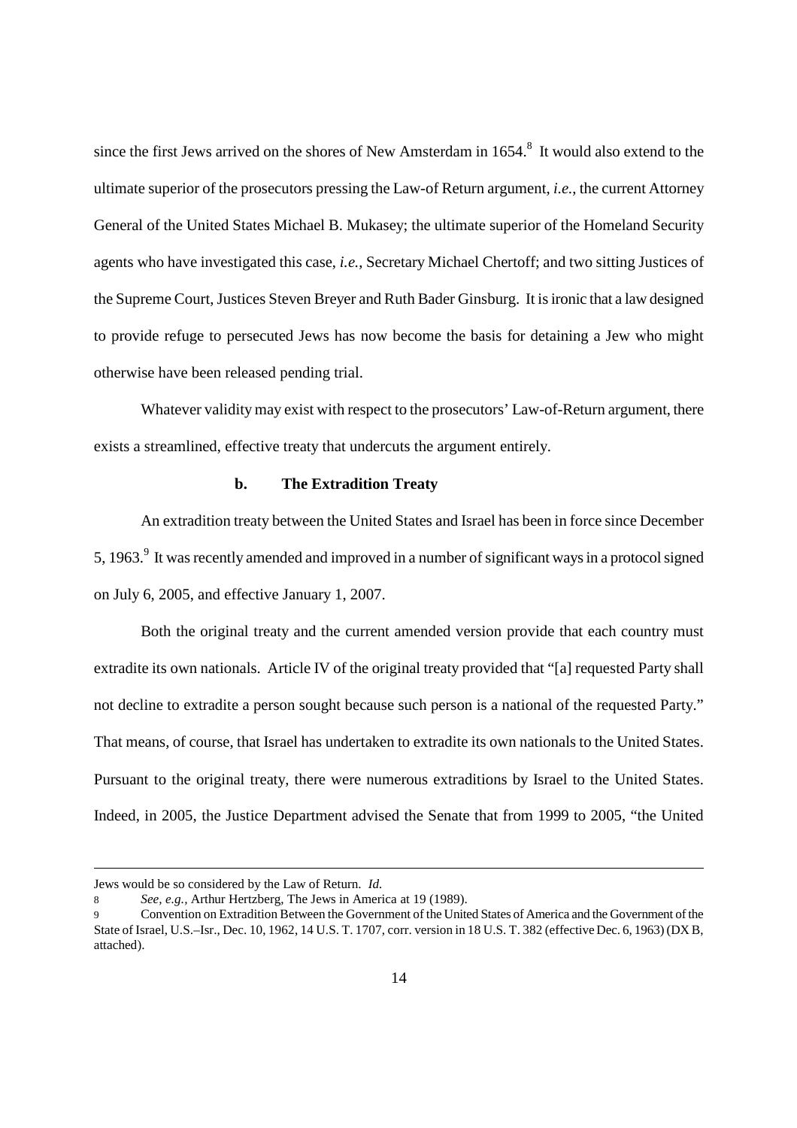since the first Jews arrived on the shores of New Amsterdam in  $1654$ .<sup>8</sup> It would also extend to the ultimate superior of the prosecutors pressing the Law-of Return argument, *i.e.*, the current Attorney General of the United States Michael B. Mukasey; the ultimate superior of the Homeland Security agents who have investigated this case, *i.e.*, Secretary Michael Chertoff; and two sitting Justices of the Supreme Court, Justices Steven Breyer and Ruth Bader Ginsburg. It is ironic that a law designed to provide refuge to persecuted Jews has now become the basis for detaining a Jew who might otherwise have been released pending trial.

Whatever validity may exist with respect to the prosecutors' Law-of-Return argument, there exists a streamlined, effective treaty that undercuts the argument entirely.

#### **b. The Extradition Treaty**

An extradition treaty between the United States and Israel has been in force since December 5, 1963. $9$  It was recently amended and improved in a number of significant ways in a protocol signed on July 6, 2005, and effective January 1, 2007.

Both the original treaty and the current amended version provide that each country must extradite its own nationals. Article IV of the original treaty provided that "[a] requested Party shall not decline to extradite a person sought because such person is a national of the requested Party." That means, of course, that Israel has undertaken to extradite its own nationals to the United States. Pursuant to the original treaty, there were numerous extraditions by Israel to the United States. Indeed, in 2005, the Justice Department advised the Senate that from 1999 to 2005, "the United

Jews would be so considered by the Law of Return. *Id.*

<sup>8</sup> *See, e.g.,* Arthur Hertzberg, The Jews in America at 19 (1989).

<sup>9</sup> Convention on Extradition Between the Government of the United States of America and the Government of the State of Israel, U.S.–Isr., Dec. 10, 1962, 14 U.S. T. 1707, corr. version in 18 U.S. T. 382 (effective Dec. 6, 1963) (DX B, attached).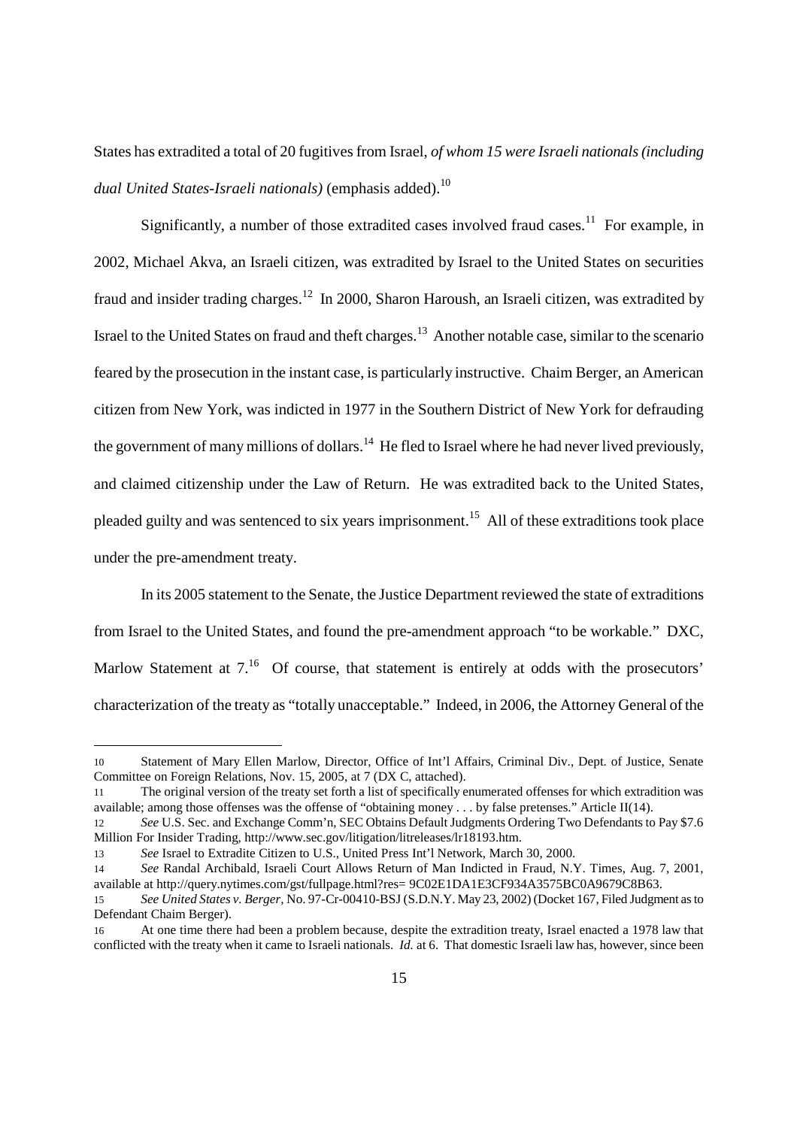States has extradited a total of 20 fugitives from Israel, *of whom 15 were Israeli nationals (including dual United States-Israeli nationals*) (emphasis added).<sup>10</sup>

Significantly, a number of those extradited cases involved fraud cases.<sup>11</sup> For example, in 2002, Michael Akva, an Israeli citizen, was extradited by Israel to the United States on securities fraud and insider trading charges.<sup>12</sup> In 2000, Sharon Haroush, an Israeli citizen, was extradited by Israel to the United States on fraud and theft charges.<sup>13</sup> Another notable case, similar to the scenario feared by the prosecution in the instant case, is particularly instructive. Chaim Berger, an American citizen from New York, was indicted in 1977 in the Southern District of New York for defrauding the government of many millions of dollars.<sup>14</sup> He fled to Israel where he had never lived previously, and claimed citizenship under the Law of Return. He was extradited back to the United States, pleaded guilty and was sentenced to six years imprisonment.<sup>15</sup> All of these extraditions took place under the pre-amendment treaty.

In its 2005 statement to the Senate, the Justice Department reviewed the state of extraditions from Israel to the United States, and found the pre-amendment approach "to be workable." DXC, Marlow Statement at  $7<sup>16</sup>$  Of course, that statement is entirely at odds with the prosecutors' characterization of the treaty as "totally unacceptable." Indeed, in 2006, the Attorney General of the

<sup>10</sup> Statement of Mary Ellen Marlow, Director, Office of Int'l Affairs, Criminal Div., Dept. of Justice, Senate Committee on Foreign Relations, Nov. 15, 2005, at 7 (DX C, attached).

<sup>11</sup> The original version of the treaty set forth a list of specifically enumerated offenses for which extradition was available; among those offenses was the offense of "obtaining money . . . by false pretenses." Article II(14).

<sup>12</sup> *See* U.S. Sec. and Exchange Comm'n, SEC Obtains Default Judgments Ordering Two Defendants to Pay \$7.6 Million For Insider Trading, http://www.sec.gov/litigation/litreleases/lr18193.htm.

<sup>13</sup> *See* Israel to Extradite Citizen to U.S., United Press Int'l Network, March 30, 2000.

<sup>14</sup> *See* Randal Archibald, Israeli Court Allows Return of Man Indicted in Fraud, N.Y. Times, Aug. 7, 2001, available at http://query.nytimes.com/gst/fullpage.html?res= 9C02E1DA1E3CF934A3575BC0A9679C8B63.

<sup>15</sup> *See United States v. Berger*, No. 97-Cr-00410-BSJ (S.D.N.Y. May 23, 2002) (Docket 167, Filed Judgment as to Defendant Chaim Berger).

<sup>16</sup> At one time there had been a problem because, despite the extradition treaty, Israel enacted a 1978 law that conflicted with the treaty when it came to Israeli nationals. *Id.* at 6. That domestic Israeli law has, however, since been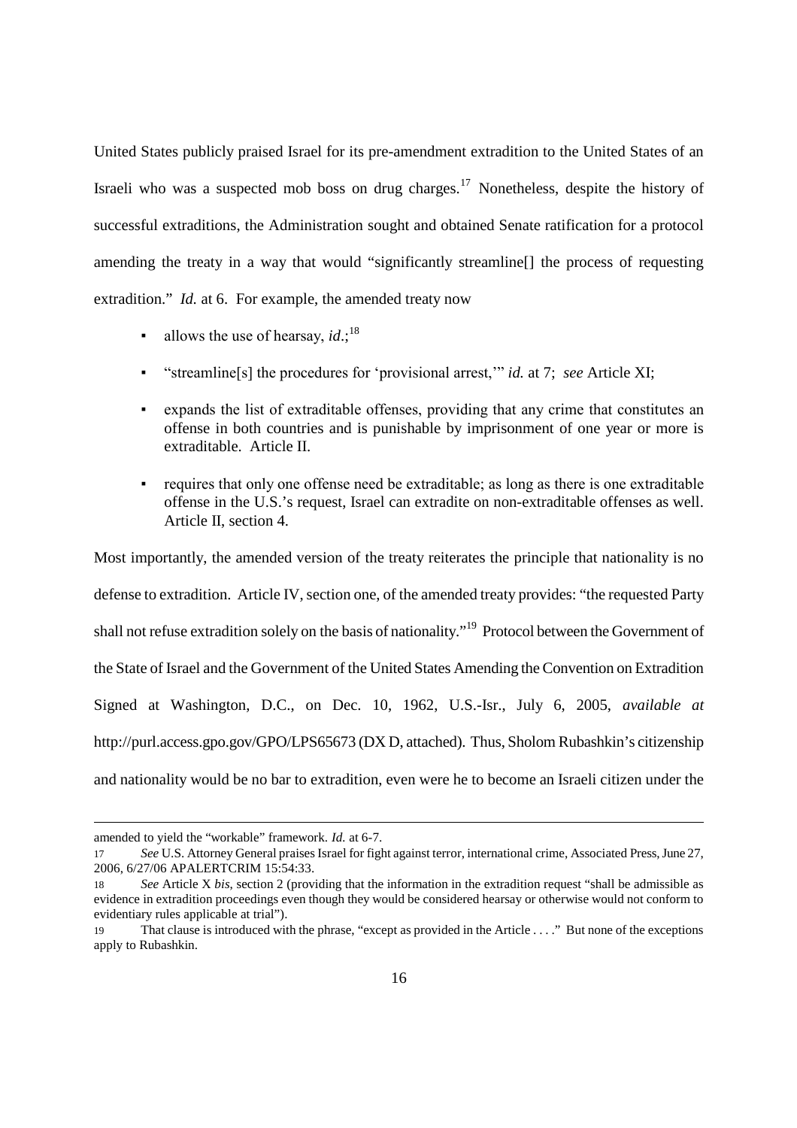United States publicly praised Israel for its pre-amendment extradition to the United States of an Israeli who was a suspected mob boss on drug charges.<sup>17</sup> Nonetheless, despite the history of successful extraditions, the Administration sought and obtained Senate ratification for a protocol amending the treaty in a way that would "significantly streamline[] the process of requesting extradition." *Id.* at 6. For example, the amended treaty now

- $\blacksquare$  allows the use of hearsay, *id*.;<sup>18</sup>
- "streamline[s] the procedures for 'provisional arrest," *id.* at 7; *see* Article XI;
- expands the list of extraditable offenses, providing that any crime that constitutes an offense in both countries and is punishable by imprisonment of one year or more is extraditable. Article II.
- requires that only one offense need be extraditable; as long as there is one extraditable offense in the U.S.'s request, Israel can extradite on non-extraditable offenses as well. Article II, section 4.

Most importantly, the amended version of the treaty reiterates the principle that nationality is no defense to extradition. Article IV, section one, of the amended treaty provides: "the requested Party shall not refuse extradition solely on the basis of nationality."<sup>19</sup> Protocol between the Government of the State of Israel and the Government of the United States Amending the Convention on Extradition Signed at Washington, D.C., on Dec. 10, 1962, U.S.-Isr., July 6, 2005, *available at* http://purl.access.gpo.gov/GPO/LPS65673 (DX D, attached). Thus, Sholom Rubashkin's citizenship and nationality would be no bar to extradition, even were he to become an Israeli citizen under the

amended to yield the "workable" framework. *Id.* at 6-7.

<sup>17</sup> *See* U.S. Attorney General praises Israel for fight against terror, international crime, Associated Press, June 27, 2006, 6/27/06 APALERTCRIM 15:54:33.

<sup>18</sup> *See* Article X *bis*, section 2 (providing that the information in the extradition request "shall be admissible as evidence in extradition proceedings even though they would be considered hearsay or otherwise would not conform to evidentiary rules applicable at trial").

<sup>19</sup> That clause is introduced with the phrase, "except as provided in the Article . . . ." But none of the exceptions apply to Rubashkin.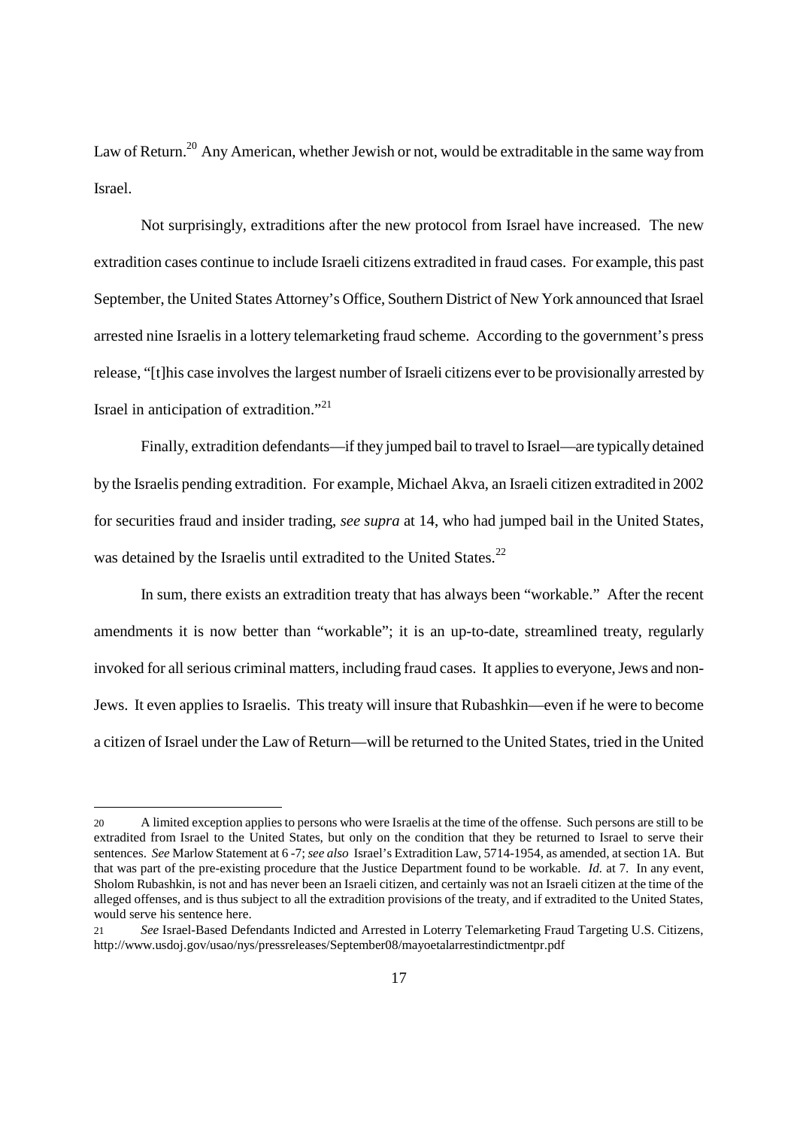Law of Return.<sup>20</sup> Any American, whether Jewish or not, would be extraditable in the same way from Israel.

Not surprisingly, extraditions after the new protocol from Israel have increased. The new extradition cases continue to include Israeli citizens extradited in fraud cases. For example, this past September, the United States Attorney's Office, Southern District of New York announced that Israel arrested nine Israelis in a lottery telemarketing fraud scheme. According to the government's press release, "[t]his case involves the largest number of Israeli citizens ever to be provisionally arrested by Israel in anticipation of extradition."<sup>21</sup>

Finally, extradition defendants—if they jumped bail to travel to Israel—are typically detained by the Israelis pending extradition. For example, Michael Akva, an Israeli citizen extradited in 2002 for securities fraud and insider trading, *see supra* at 14, who had jumped bail in the United States, was detained by the Israelis until extradited to the United States.<sup>22</sup>

In sum, there exists an extradition treaty that has always been "workable." After the recent amendments it is now better than "workable"; it is an up-to-date, streamlined treaty, regularly invoked for all serious criminal matters, including fraud cases. It applies to everyone, Jews and non-Jews. It even applies to Israelis. This treaty will insure that Rubashkin—even if he were to become a citizen of Israel under the Law of Return—will be returned to the United States, tried in the United

<sup>20</sup> A limited exception applies to persons who were Israelis at the time of the offense. Such persons are still to be extradited from Israel to the United States, but only on the condition that they be returned to Israel to serve their sentences. *See* Marlow Statement at 6 -7; *see also* Israel's Extradition Law, 5714-1954, as amended, at section 1A. But that was part of the pre-existing procedure that the Justice Department found to be workable. *Id.* at 7. In any event, Sholom Rubashkin, is not and has never been an Israeli citizen, and certainly was not an Israeli citizen at the time of the alleged offenses, and is thus subject to all the extradition provisions of the treaty, and if extradited to the United States, would serve his sentence here.

<sup>21</sup> *See* Israel-Based Defendants Indicted and Arrested in Loterry Telemarketing Fraud Targeting U.S. Citizens, http://www.usdoj.gov/usao/nys/pressreleases/September08/mayoetalarrestindictmentpr.pdf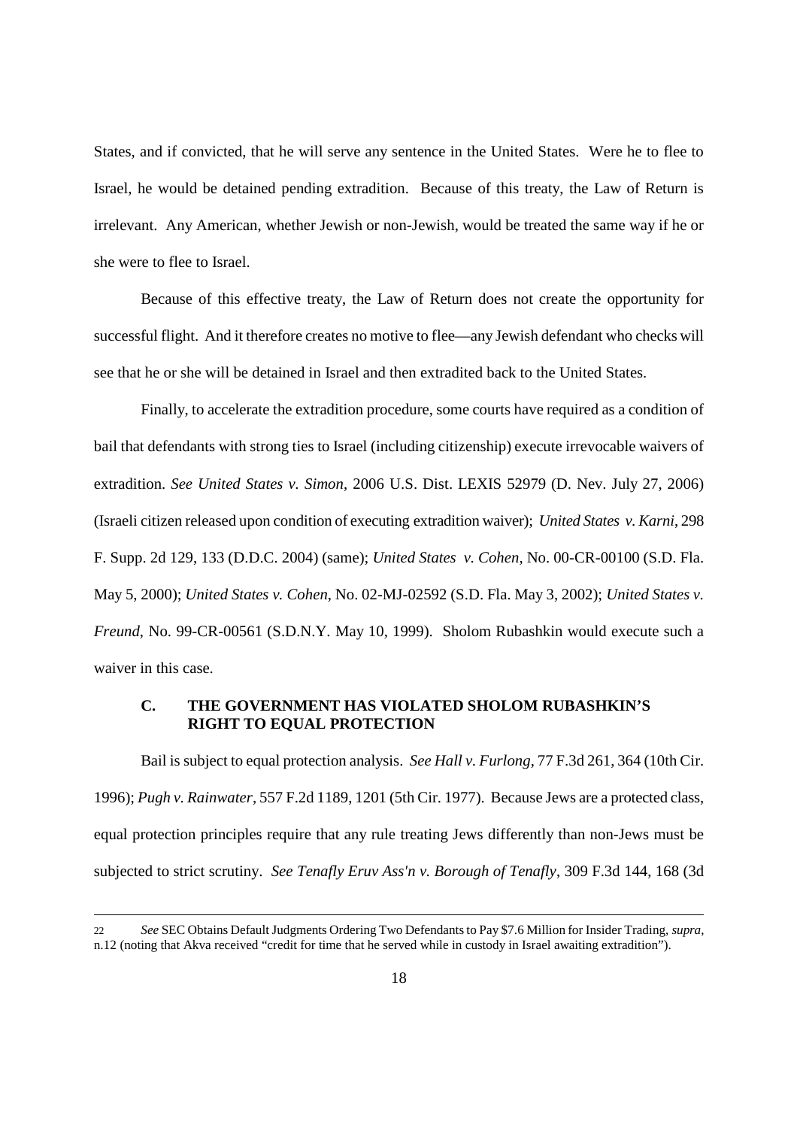States, and if convicted, that he will serve any sentence in the United States. Were he to flee to Israel, he would be detained pending extradition. Because of this treaty, the Law of Return is irrelevant. Any American, whether Jewish or non-Jewish, would be treated the same way if he or she were to flee to Israel.

Because of this effective treaty, the Law of Return does not create the opportunity for successful flight. And it therefore creates no motive to flee—any Jewish defendant who checks will see that he or she will be detained in Israel and then extradited back to the United States.

Finally, to accelerate the extradition procedure, some courts have required as a condition of bail that defendants with strong ties to Israel (including citizenship) execute irrevocable waivers of extradition. *See United States v. Simon*, 2006 U.S. Dist. LEXIS 52979 (D. Nev. July 27, 2006) (Israeli citizen released upon condition of executing extradition waiver); *United States v. Karni*, 298 F. Supp. 2d 129, 133 (D.D.C. 2004) (same); *United States v. Cohen*, No. 00-CR-00100 (S.D. Fla. May 5, 2000); *United States v. Cohen*, No. 02-MJ-02592 (S.D. Fla. May 3, 2002); *United States v. Freund*, No. 99-CR-00561 (S.D.N.Y. May 10, 1999). Sholom Rubashkin would execute such a waiver in this case.

## **C. THE GOVERNMENT HAS VIOLATED SHOLOM RUBASHKIN'S RIGHT TO EQUAL PROTECTION**

Bail is subject to equal protection analysis. *See Hall v. Furlong*, 77 F.3d 261, 364 (10th Cir. 1996); *Pugh v. Rainwater*, 557 F.2d 1189, 1201 (5th Cir. 1977). Because Jews are a protected class, equal protection principles require that any rule treating Jews differently than non-Jews must be subjected to strict scrutiny. *See Tenafly Eruv Ass'n v. Borough of Tenafly*, 309 F.3d 144, 168 (3d

<sup>22</sup> *See* SEC Obtains Default Judgments Ordering Two Defendants to Pay \$7.6 Million for Insider Trading, *supra*, n.12 (noting that Akva received "credit for time that he served while in custody in Israel awaiting extradition").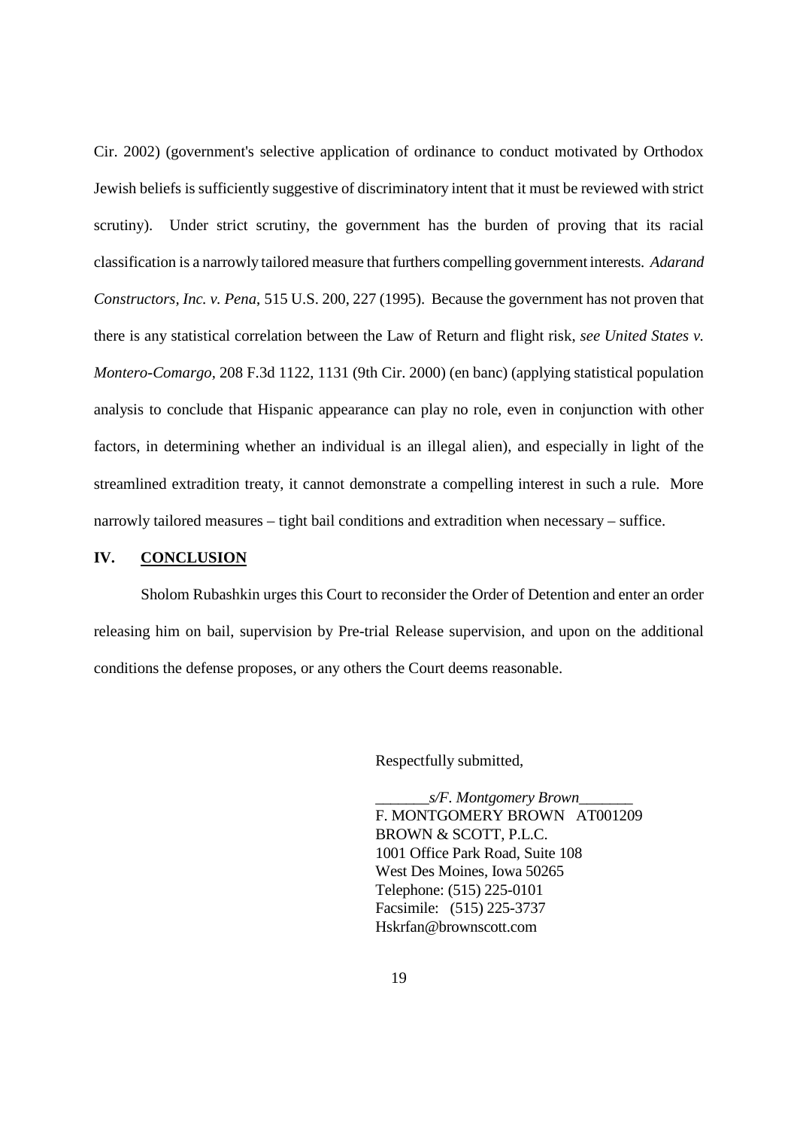Cir. 2002) (government's selective application of ordinance to conduct motivated by Orthodox Jewish beliefs is sufficiently suggestive of discriminatory intent that it must be reviewed with strict scrutiny). Under strict scrutiny, the government has the burden of proving that its racial classification is a narrowly tailored measure that furthers compelling government interests. *Adarand Constructors, Inc. v. Pena*, 515 U.S. 200, 227 (1995). Because the government has not proven that there is any statistical correlation between the Law of Return and flight risk, *see United States v. Montero-Comargo,* 208 F.3d 1122, 1131 (9th Cir. 2000) (en banc) (applying statistical population analysis to conclude that Hispanic appearance can play no role, even in conjunction with other factors, in determining whether an individual is an illegal alien), and especially in light of the streamlined extradition treaty, it cannot demonstrate a compelling interest in such a rule. More narrowly tailored measures – tight bail conditions and extradition when necessary – suffice.

### **IV. CONCLUSION**

Sholom Rubashkin urges this Court to reconsider the Order of Detention and enter an order releasing him on bail, supervision by Pre-trial Release supervision, and upon on the additional conditions the defense proposes, or any others the Court deems reasonable.

Respectfully submitted,

\_\_\_\_\_\_\_*s/F. Montgomery Brown*\_\_\_\_\_\_\_ F. MONTGOMERY BROWN AT001209 BROWN & SCOTT, P.L.C. 1001 Office Park Road, Suite 108 West Des Moines, Iowa 50265 Telephone: (515) 225-0101 Facsimile: (515) 225-3737 Hskrfan@brownscott.com